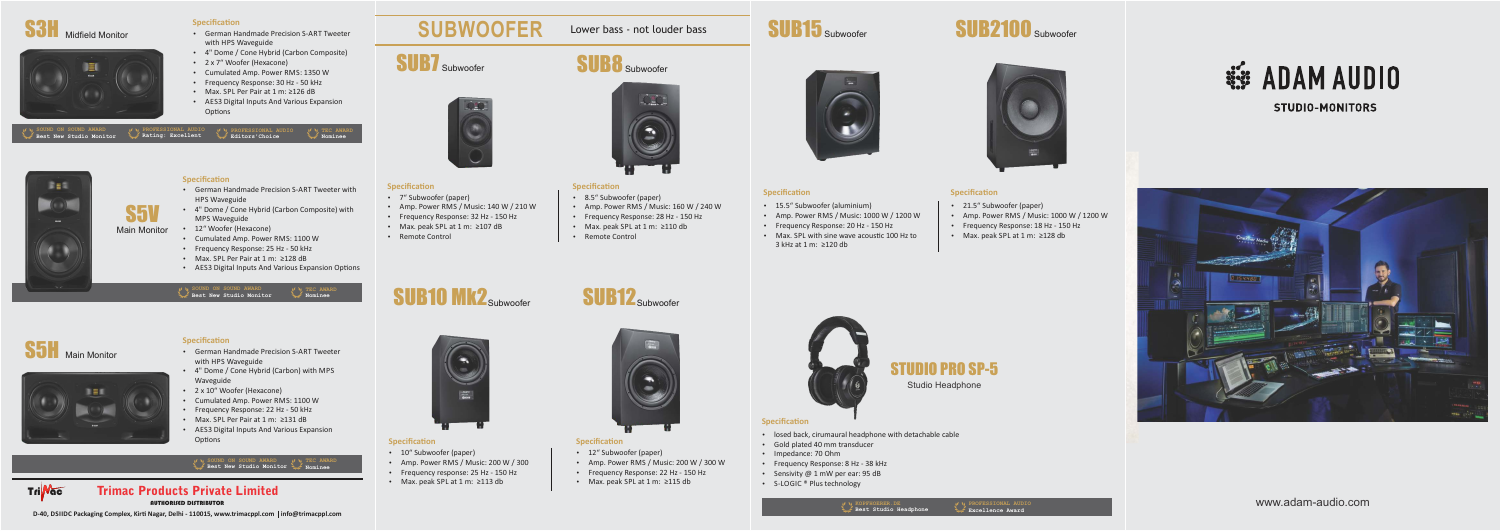

### **Specification**

- **•** German Handmade Precision S-ART Tweeter with HPS Waveguide
- $\cdot$  4" Dome / Cone Hybrid (Carbon Composite)
- $\cdot$  2 x 7" Woofer (Hexacone)
- Cumulated Amp. Power RMS: 1350 W
- Frequency Response: 30 Hz 50 kHz
- Max. SPL Per Pair at 1 m: ≥126 dB
- AES3 Digital Inputs And Various Expansion Options



### **Specification**

- **•** German Handmade Precision S-ART Tweeter with HPS Waveguide
- 4" Dome / Cone Hybrid (Carbon) with MPS Waveguide
- $\cdot$  2 x 10" Woofer (Hexacone)
- $\bullet$  Cumulated Amp. Power RMS: 1100 W
- Frequency Response: 22 Hz 50 kHz
- Max. SPL Per Pair at 1 m: ≥131 dB
- Options





### **Specification**

- 12" Subwoofer (paper)
- Amp. Power RMS / Music: 200 W / 300 W
- Frequency Response: 22 Hz 150 Hz
- Max. peak SPL at 1 m: ≥115 db

### **Specification**

- 
- 
- 
- 
- 
- 

**D-40, DSIIDC Packaging Complex, Kirti Nagar, Delhi - 110015, www.trimacppl.com | info@trimacppl.com** 

**Specification** 

• 7" Subwoofer (paper)

• Remote Control

- 
- AES3 Digital Inputs And Various Expansion

**Specification** • 10" Subwoofer (paper)

• Amp. Power RMS / Music: 200 W / 300

• Frequency response: 25 Hz - 150 Hz

• Max. peak SPL at 1 m: ≥113 db







• Frequency Response: 20 Hz - 150 Hz  $\bullet$  Amp. Power RMS / Music: 1000 W / 1200 W  $\cdot$  Max. SPL with sine wave acoustic 100 Hz to 3 kHz at 1 m: ≥120 db  $\cdot$  15.5" Subwoofer (aluminium)



- 21.5" Subwoofer (paper)
- $\bullet$  Amp. Power RMS / Music: 1000 W / 1200 W
- Frequency Response: 18 Hz 150 Hz
- Max. peak SPL at 1 m: ≥128 db



AUTHORISED DISTRIBUTOR Trimac Products Private Limited

# **SUBWOOFER** Lower bass - not louder bass

SUB7 Subwoofer



# SUB8 Subwoofer



### **Specification**

- \* 8.5" Subwoofer (paper)
- Amp. Power RMS / Music: 160 W / 240 W
- Frequency Response: 28 Hz 150 Hz
- Max. peak SPL at 1 m: ≥110 db
- Remote Control

### **Specification**

- 
- 
- 
- 

- 
- 
- 
- 

## **SUB10 MK2**Subwoofer

 $\bullet$  Amp. Power RMS / Music: 140 W / 210 W

• Max. peak SPL at 1 m: ≥107 dB • Frequency Response: 32 Hz - 150 Hz





## STUDIO PRO SP-5 Studio Headphone

 $\cdot$  S-LOGIC  $^{\circ}$  Plus technology  $\cdot$  losed back, cirumaural headphone with detachable cable • Frequency Response: 8 Hz - 38 kHz • Gold plated 40 mm transducer • Impedance: 70 Ohm • Sensivity  $@1$  mW per ear: 95 dB



**STUDIO-MONITORS** 



www.adam-audio.com

| <b>W</b> SOUND ON SOUND AWARD | V V PROFESSIONAL AUDIO | V V PROFESSIONAL AUDIO | $M$ V TEC AWARD |
|-------------------------------|------------------------|------------------------|-----------------|
| Best New Studio Monitor       | Rating: Excellent      | Editors'Choice         | Nominee         |

S5



### **Specification**

- **•** German Handmade Precision S-ART Tweeter with HPS Waveguide
- 4" Dome / Cone Hybrid (Carbon Composite) with MPS Waveguide
- Main Monitor \* 12" Woofer (Hexacone)
	- Cumulated Amp. Power RMS: 1100 W
	- Frequency Response: 25 Hz 50 kHz
	- Max. SPL Per Pair at 1 m: ≥128 dB
	- AES3 Digital Inputs And Various Expansion Options

**SOUND ON SOUND AWARD Best New Studio Monitor TEC AWARD Nominee**

### **SOUND ON SOUND AWARD Best New Studio Monitor TEC AWARD Nominee**

**PROFESSIONAL AUDIO Excellence Award**